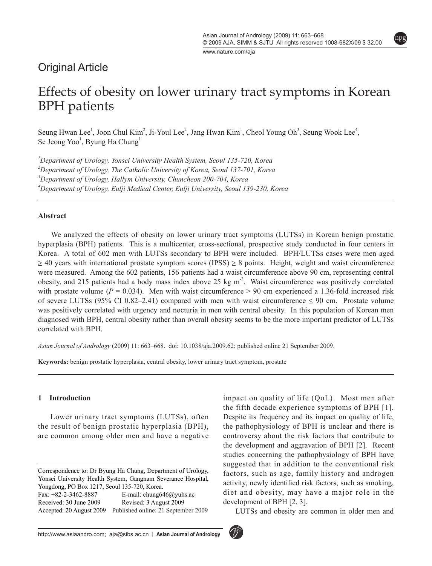$\overline{\phantom{a}}$ 

npg

www.nature.com/aja

# Original Article

# Effects of obesity on lower urinary tract symptoms in Korean BPH patients

Seung Hwan Lee<sup>1</sup>, Joon Chul Kim<sup>2</sup>, Ji-Youl Lee<sup>2</sup>, Jang Hwan Kim<sup>1</sup>, Cheol Young Oh<sup>3</sup>, Seung Wook Lee<sup>4</sup>, Se Jeong Yoo<sup>1</sup>, Byung Ha Chung<sup>1</sup>

 *Department of Urology, Yonsei University Health System, Seoul 135-720, Korea Department of Urology, The Catholic University of Korea, Seoul 137-701, Korea Department of Urology, Hallym University, Chuncheon 200-704, Korea Department of Urology, Eulji Medical Center, Eulji University, Seoul 139-230, Korea*

#### **Abstract**

We analyzed the effects of obesity on lower urinary tract symptoms (LUTSs) in Korean benign prostatic hyperplasia (BPH) patients. This is a multicenter, cross-sectional, prospective study conducted in four centers in Korea. A total of 602 men with LUTSs secondary to BPH were included. BPH/LUTSs cases were men aged  $\geq$  40 years with international prostate symptom scores (IPSS)  $\geq$  8 points. Height, weight and waist circumference were measured. Among the 602 patients, 156 patients had a waist circumference above 90 cm, representing central obesity, and 215 patients had a body mass index above 25 kg  $m^2$ . Waist circumference was positively correlated with prostate volume ( $P = 0.034$ ). Men with waist circumference  $> 90$  cm experienced a 1.36-fold increased risk of severe LUTSs (95% CI 0.82–2.41) compared with men with waist circumference  $\leq$  90 cm. Prostate volume was positively correlated with urgency and nocturia in men with central obesity. In this population of Korean men diagnosed with BPH, central obesity rather than overall obesity seems to be the more important predictor of LUTSs correlated with BPH.

*Asian Journal of Andrology* (2009) 11: 663–668. doi: 10.1038/aja.2009.62; published online 21 September 2009.

**Keywords:** benign prostatic hyperplasia, central obesity, lower urinary tract symptom, prostate

#### **1 Introduction**

Lower urinary tract symptoms (LUTSs), often the result of benign prostatic hyperplasia (BPH), are common among older men and have a negative impact on quality of life (QoL). Most men after the fifth decade experience symptoms of BPH [1]. Despite its frequency and its impact on quality of life, the pathophysiology of BPH is unclear and there is controversy about the risk factors that contribute to the development and aggravation of BPH [2]. Recent studies concerning the pathophysiology of BPH have suggested that in addition to the conventional risk factors, such as age, family history and androgen activity, newly identified risk factors, such as smoking, diet and obesity, may have a major role in the development of BPH [2, 3].

LUTSs and obesity are common in older men and



Correspondence to: Dr Byung Ha Chung, Department of Urology, Yonsei University Health System, Gangnam Severance Hospital, Yongdong, PO Box 1217, Seoul 135-720, Korea. Fax: +82-2-3462-8887 E-mail: chung646@yuhs.ac Received: 30 June 2009 Revised: 3 August 2009 Accepted: 20 August 2009 Published online: 21 September 2009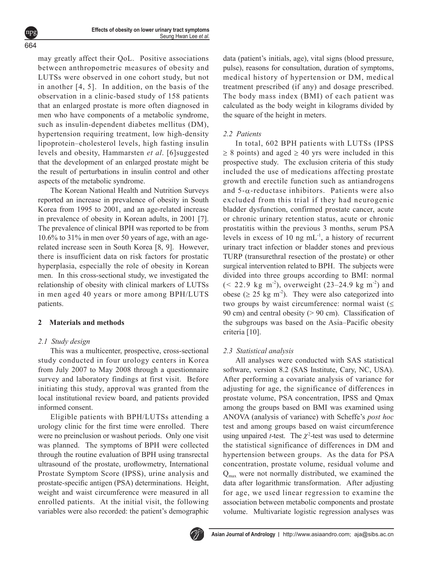may greatly affect their QoL. Positive associations between anthropometric measures of obesity and LUTSs were observed in one cohort study, but not in another [4, 5]. In addition, on the basis of the observation in a clinic-based study of 158 patients that an enlarged prostate is more often diagnosed in men who have components of a metabolic syndrome, such as insulin-dependent diabetes mellitus (DM), hypertension requiring treatment, low high-density lipoprotein–cholesterol levels, high fasting insulin levels and obesity, Hammarsten *et al*. [6]suggested that the development of an enlarged prostate might be the result of perturbations in insulin control and other aspects of the metabolic syndrome.

The Korean National Health and Nutrition Surveys reported an increase in prevalence of obesity in South Korea from 1995 to 2001, and an age-related increase in prevalence of obesity in Korean adults, in 2001 [7]. The prevalence of clinical BPH was reported to be from 10.6% to 31% in men over 50 years of age, with an agerelated increase seen in South Korea [8, 9]. However, there is insufficient data on risk factors for prostatic hyperplasia, especially the role of obesity in Korean men. In this cross-sectional study, we investigated the relationship of obesity with clinical markers of LUTSs in men aged 40 years or more among BPH/LUTS patients.

#### **2 Materials and methods**

# *2.1 Study design*

664 npg

> This was a multicenter, prospective, cross-sectional study conducted in four urology centers in Korea from July 2007 to May 2008 through a questionnaire survey and laboratory findings at first visit. Before initiating this study, approval was granted from the local institutional review board, and patients provided informed consent.

> Eligible patients with BPH/LUTSs attending a urology clinic for the first time were enrolled. There were no preinclusion or washout periods. Only one visit was planned. The symptoms of BPH were collected through the routine evaluation of BPH using transrectal ultrasound of the prostate, uroflowmetry, International Prostate Symptom Score (IPSS), urine analysis and prostate-specific antigen (PSA) determinations. Height, weight and waist circumference were measured in all enrolled patients. At the initial visit, the following variables were also recorded: the patient's demographic

data (patient's initials, age), vital signs (blood pressure, pulse), reasons for consultation, duration of symptoms, medical history of hypertension or DM, medical treatment prescribed (if any) and dosage prescribed. The body mass index (BMI) of each patient was calculated as the body weight in kilograms divided by the square of the height in meters.

# *2.2 Patients*

In total, 602 BPH patients with LUTSs (IPSS  $\geq$  8 points) and aged  $\geq$  40 yrs were included in this prospective study. The exclusion criteria of this study included the use of medications affecting prostate growth and erectile function such as antiandrogens and  $5-\alpha$ -reductase inhibitors. Patients were also excluded from this trial if they had neurogenic bladder dysfunction, confirmed prostate cancer, acute or chronic urinary retention status, acute or chronic prostatitis within the previous 3 months, serum PSA levels in excess of 10 ng  $mL^{-1}$ , a history of recurrent urinary tract infection or bladder stones and previous TURP (transurethral resection of the prostate) or other surgical intervention related to BPH. The subjects were divided into three groups according to BMI: normal  $(< 22.9 \text{ kg m}^2)$ , overweight  $(23-24.9 \text{ kg m}^2)$  and obese ( $\geq$  25 kg m<sup>-2</sup>). They were also categorized into two groups by waist circumference: normal waist (≤ 90 cm) and central obesity (> 90 cm). Classification of the subgroups was based on the Asia–Pacific obesity criteria [10].

# *2.3 Statistical analysis*

All analyses were conducted with SAS statistical software, version 8.2 (SAS Institute, Cary, NC, USA). After performing a covariate analysis of variance for adjusting for age, the significance of differences in prostate volume, PSA concentration, IPSS and Qmax among the groups based on BMI was examined using ANOVA (analysis of variance) with Scheffe's *post hoc*  test and among groups based on waist circumference using unpaired *t*-test. The  $\chi^2$ -test was used to determine the statistical significance of differences in DM and hypertension between groups. As the data for PSA concentration, prostate volume, residual volume and  $Q<sub>max</sub>$  were not normally distributed, we examined the data after logarithmic transformation. After adjusting for age, we used linear regression to examine the association between metabolic components and prostate volume. Multivariate logistic regression analyses was

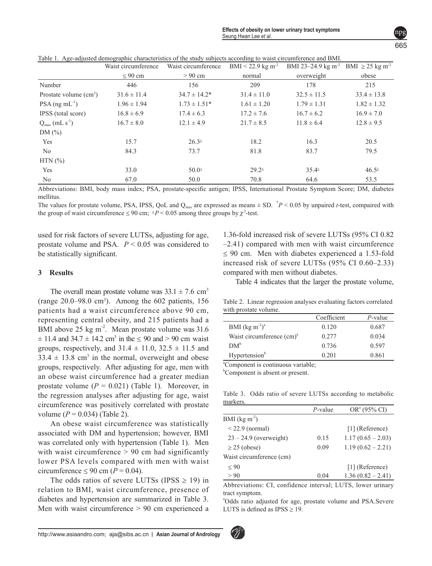|                                        | Waist circumference | Waist circumference | BMI < 22.9 kg m <sup>-2</sup> | BMI 23-24.9 kg m <sup>-2</sup> BMI $\geq$ 25 kg m <sup>-2</sup> |                 |
|----------------------------------------|---------------------|---------------------|-------------------------------|-----------------------------------------------------------------|-----------------|
|                                        | $\leq 90$ cm        | $> 90$ cm           | normal                        | overweight                                                      | obese           |
| Number                                 | 446                 | 156                 | 209                           | 178                                                             | 215             |
| Prostate volume $(cm3)$                | $31.6 \pm 11.4$     | $34.7 \pm 14.2^*$   | $31.4 \pm 11.0$               | $32.5 \pm 11.5$                                                 | $33.4 \pm 13.8$ |
| $PSA$ (ng mL <sup>-1</sup> )           | $1.96 \pm 1.94$     | $1.73 \pm 1.51*$    | $1.61 \pm 1.20$               | $1.79 \pm 1.31$                                                 | $1.82 \pm 1.32$ |
| IPSS (total score)                     | $16.8 \pm 6.9$      | $17.4 \pm 6.3$      | $17.2 \pm 7.6$                | $16.7 \pm 6.2$                                                  | $16.9 \pm 7.0$  |
| $Q_{\text{max}}$ (mL s <sup>-1</sup> ) | $16.7 \pm 8.0$      | $12.1 \pm 4.9$      | $21.7 \pm 8.5$                | $11.8 \pm 6.4$                                                  | $12.8 \pm 9.5$  |
| DM $(\% )$                             |                     |                     |                               |                                                                 |                 |
| Yes                                    | 15.7                | $26.3^{\circ}$      | 18.2                          | 16.3                                                            | 20.5            |
| No                                     | 84.3                | 73.7                | 81.8                          | 83.7                                                            | 79.5            |
| $HTN$ $(\% )$                          |                     |                     |                               |                                                                 |                 |
| Yes                                    | 33.0                | $50.0^{\circ}$      | $29.2^{\circ}$                | $35.4^{\circ}$                                                  | $46.5^{\circ}$  |
| N <sub>0</sub>                         | 67.0                | 50.0                | 70.8                          | 64.6                                                            | 53.5            |

Table 1. Age-adjusted demographic characteristics of the study subjects according to waist circumference and BMI.

Abbreviations: BMI, body mass index; PSA, prostate-specific antigen; IPSS, International Prostate Symptom Score; DM, diabetes mellitus.

The values for prostate volume, PSA, IPSS, QoL and  $Q_{\text{max}}$  are expressed as means  $\pm$  SD.  $\degree$ P < 0.05 by unpaired *t*-test, compaired with the group of waist circumference  $\leq 90$  cm;  $P \leq 0.05$  among three groups by  $\chi^2$ -test.

used for risk factors of severe LUTSs, adjusting for age, prostate volume and PSA. *P* < 0.05 was considered to be statistically significant.

#### **3 Results**

The overall mean prostate volume was  $33.1 \pm 7.6$  cm<sup>3</sup> (range  $20.0-98.0$  cm<sup>3</sup>). Among the  $602$  patients,  $156$ patients had a waist circumference above 90 cm, representing central obesity, and 215 patients had a BMI above 25 kg  $m<sup>2</sup>$ . Mean prostate volume was 31.6  $\pm$  11.4 and 34.7  $\pm$  14.2 cm<sup>3</sup> in the  $\leq$  90 and > 90 cm waist groups, respectively, and  $31.4 \pm 11.0$ ,  $32.5 \pm 11.5$  and  $33.4 \pm 13.8$  cm<sup>3</sup> in the normal, overweight and obese groups, respectively. After adjusting for age, men with an obese waist circumference had a greater median prostate volume  $(P = 0.021)$  (Table 1). Moreover, in the regression analyses after adjusting for age, waist circumference was positively correlated with prostate volume (*P* = 0.034) (Table 2).

An obese waist circumference was statistically associated with DM and hypertension; however, BMI was correlated only with hypertension (Table 1). Men with waist circumference  $> 90$  cm had significantly lower PSA levels compared with men with waist circumference  $\leq 90$  cm ( $P = 0.04$ ).

The odds ratios of severe LUTSs (IPSS  $\geq$  19) in relation to BMI, waist circumference, presence of diabetes and hypertension are summarized in Table 3. Men with waist circumference > 90 cm experienced a

1.36-fold increased risk of severe LUTSs (95% CI 0.82 –2.41) compared with men with waist circumference  $\leq 90$  cm. Men with diabetes experienced a 1.53-fold increased risk of severe LUTSs (95% CI 0.60–2.33) compared with men without diabetes.

Table 4 indicates that the larger the prostate volume,

Table 2. Linear regression analyses evaluating factors correlated with prostate volume.

|                                       | Coefficient | P-value |
|---------------------------------------|-------------|---------|
| BMI $(\text{kg m}^{-2})^a$            | 0.120       | 0.687   |
| Waist circumference (cm) <sup>a</sup> | 0.277       | 0.034   |
| DM <sup>b</sup>                       | 0.736       | 0.597   |
| Hypertension <sup>b</sup>             | 0.201       | 0.861   |
| $\alpha$ and $\alpha$                 | .           |         |

a Component is continuous variable;

<sup>b</sup>Component is absent or present.

Table 3. Odds ratio of severe LUTSs according to metabolic markers.

|                          | $P$ -value | $OR^a$ (95% CI)     |
|--------------------------|------------|---------------------|
| BMI $(kg \, \text{m}^2)$ |            |                     |
| $<$ 22.9 (normal)        |            | $[1]$ (Reference)   |
| $23 - 24.9$ (overweight) | 0.15       | $1.17(0.65 - 2.03)$ |
| $\geq$ 25 (obese)        | 0.09       | $1.19(0.62 - 2.21)$ |
| Waist circumference (cm) |            |                     |
| ${}_{< 90}$              |            | $[1]$ (Reference)   |
| > 90                     | 0.04       | $1.36(0.82 - 2.41)$ |

Abbreviations: CI, confidence interval; LUTS, lower urinary tract symptom.

a Odds ratio adjusted for age, prostate volume and PSA.Severe LUTS is defined as  $IPSS \geq 19$ .

665 npg

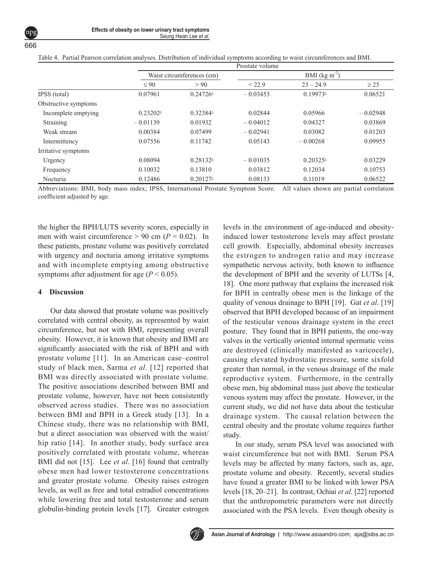|                      | Prostate volume                              |                                              |                |                                              |            |  |  |
|----------------------|----------------------------------------------|----------------------------------------------|----------------|----------------------------------------------|------------|--|--|
|                      | Waist circumferences (cm)                    |                                              | BMI $(kg m-2)$ |                                              |            |  |  |
|                      | $\leq 90$                                    | > 90                                         | < 22.9         | $23 - 24.9$                                  | $\geq$ 25  |  |  |
| IPSS (total)         | 0.07961                                      | $0.24726^{\circ}$                            | $-0.03453$     | $0.19973$ <sup><math>\triangleq</math></sup> | 0.06521    |  |  |
| Obstructive symptoms |                                              |                                              |                |                                              |            |  |  |
| Incomplete emptying  | $0.23202$ <sup><math>\triangleq</math></sup> | $0.32384^{\circ}$                            | 0.02844        | 0.05966                                      | $-0.02948$ |  |  |
| Straining            | $-0.01139$                                   | 0.01932                                      | $-0.04012$     | 0.04327                                      | 0.03869    |  |  |
| Weak stream          | 0.00384                                      | 0.07499                                      | $-0.02941$     | 0.03082                                      | 0.01203    |  |  |
| Intermittency        | 0.07556                                      | 0.11742                                      | 0.05143        | $-0.00268$                                   | 0.09955    |  |  |
| Irritative symptoms  |                                              |                                              |                |                                              |            |  |  |
| Urgency              | 0.08094                                      | 0.28132                                      | $-0.01035$     | $0.20325^{\circ}$                            | 0.03229    |  |  |
| Frequency            | 0.10032                                      | 0.13810                                      | 0.03812        | 0.12034                                      | 0.10753    |  |  |
| Nocturia             | 0.12486                                      | $0.20127$ <sup><math>\triangleq</math></sup> | 0.08133        | 0.11019                                      | 0.06522    |  |  |

Table 4. Partial Pearson correlation analyses. Distribution of individual symptoms according to waist circumferences and BMI.

Abbreviations: BMI, body mass index; IPSS, International Prostate Symptom Score. All values shown are partial correlation coefficient adjusted by age.

the higher the BPH/LUTS severity scores, especially in men with waist circumference  $> 90$  cm ( $P = 0.02$ ). In these patients, prostate volume was positively correlated with urgency and nocturia among irritative symptoms and with incomplete emptying among obstructive symptoms after adjustment for age  $(P < 0.05)$ .

# **4 Discussion**

Our data showed that prostate volume was positively correlated with central obesity, as represented by waist circumference, but not with BMI, representing overall obesity. However, it is known that obesity and BMI are significantly associated with the risk of BPH and with prostate volume [11]. In an American case–control study of black men, Sarma *et al*. [12] reported that BMI was directly associated with prostate volume. The positive associations described between BMI and prostate volume, however, have not been consistently observed across studies. There was no association between BMI and BPH in a Greek study [13]. In a Chinese study, there was no relationship with BMI, but a direct association was observed with the waist/ hip ratio [14]. In another study, body surface area positively correlated with prostate volume, whereas BMI did not [15]. Lee *et al*. [16] found that centrally obese men had lower testosterone concentrations and greater prostate volume. Obesity raises estrogen levels, as well as free and total estradiol concentrations while lowering free and total testosterone and serum globulin-binding protein levels [17]. Greater estrogen levels in the environment of age-induced and obesityinduced lower testosterone levels may affect prostate cell growth. Especially, abdominal obesity increases the estrogen to androgen ratio and may increase sympathetic nervous activity, both known to influence the development of BPH and the severity of LUTSs [4, 18]. One more pathway that explains the increased risk for BPH in centrally obese men is the linkage of the quality of venous drainage to BPH [19]. Gat *et al*. [19] observed that BPH developed because of an impairment of the testicular venous drainage system in the erect posture. They found that in BPH patients, the one-way valves in the vertically oriented internal spermatic veins are destroyed (clinically manifested as varicocele), causing elevated hydrostatic pressure, some sixfold greater than normal, in the venous drainage of the male reproductive system. Furthermore, in the centrally obese men, big abdominal mass just above the testicular venous system may affect the prostate. However, in the current study, we did not have data about the testicular drainage system. The causal relation between the central obesity and the prostate volume requires further study.

In our study, serum PSA level was associated with waist circumference but not with BMI. Serum PSA levels may be affected by many factors, such as, age, prostate volume and obesity. Recently, several studies have found a greater BMI to be linked with lower PSA levels [18, 20–21]. In contrast, Ochiai *et al*. [22] reported that the anthropometric parameters were not directly associated with the PSA levels. Even though obesity is

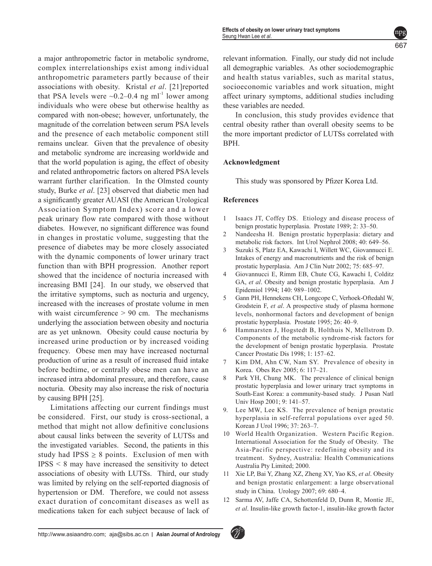a major anthropometric factor in metabolic syndrome, complex interrelationships exist among individual anthropometric parameters partly because of their associations with obesity. Kristal *et al*. [21]reported that PSA levels were  $\sim 0.2 - 0.4$  ng ml<sup>-1</sup> lower among individuals who were obese but otherwise healthy as compared with non-obese; however, unfortunately, the magnitude of the correlation between serum PSA levels and the presence of each metabolic component still remains unclear. Given that the prevalence of obesity and metabolic syndrome are increasing worldwide and that the world population is aging, the effect of obesity and related anthropometric factors on altered PSA levels warrant further clarification. In the Olmsted county study, Burke *et al*. [23] observed that diabetic men had a significantly greater AUASI (the American Urological Association Symptom Index) score and a lower peak urinary flow rate compared with those without diabetes. However, no significant difference was found in changes in prostatic volume, suggesting that the presence of diabetes may be more closely associated with the dynamic components of lower urinary tract function than with BPH progression. Another report showed that the incidence of nocturia increased with increasing BMI [24]. In our study, we observed that the irritative symptoms, such as nocturia and urgency, increased with the increases of prostate volume in men with waist circumference  $> 90$  cm. The mechanisms underlying the association between obesity and nocturia are as yet unknown. Obesity could cause nocturia by increased urine production or by increased voiding frequency. Obese men may have increased nocturnal production of urine as a result of increased fluid intake before bedtime, or centrally obese men can have an increased intra abdominal pressure, and therefore, cause nocturia. Obesity may also increase the risk of nocturia by causing BPH [25].

Limitations affecting our current findings must be considered. First, our study is cross-sectional, a method that might not allow definitive conclusions about causal links between the severity of LUTSs and the investigated variables. Second, the patients in this study had IPSS  $\geq 8$  points. Exclusion of men with IPSS < 8 may have increased the sensitivity to detect associations of obesity with LUTSs. Third, our study was limited by relying on the self-reported diagnosis of hypertension or DM. Therefore, we could not assess exact duration of concomitant diseases as well as medications taken for each subject because of lack of relevant information. Finally, our study did not include all demographic variables. As other sociodemographic and health status variables, such as marital status, socioeconomic variables and work situation, might affect urinary symptoms, additional studies including these variables are needed.

In conclusion, this study provides evidence that central obesity rather than overall obesity seems to be the more important predictor of LUTSs correlated with BPH.

#### **Acknowledgment**

This study was sponsored by Pfizer Korea Ltd.

#### **References**

- 1 Isaacs JT, Coffey DS. Etiology and disease process of benign prostatic hyperplasia. Prostate 1989; 2: 33–50.
- 2 Nandeesha H. Benign prostatic hyperplasia: dietary and metabolic risk factors. Int Urol Nephrol 2008; 40: 649–56.
- 3 Suzuki S, Platz EA, Kawachi I, Willett WC, Giovannucci E. Intakes of energy and macronutrients and the risk of benign prostatic hyperplasia. Am J Clin Nutr 2002; 75: 685–97.
- 4 Giovannucci E, Rimm EB, Chute CG, Kawachi I, Colditz GA, *et al*. Obesity and benign prostatic hyperplasia. Am J Epidemiol 1994; 140: 989–1002.
- 5 Gann PH, Hennekens CH, Longcope C, Verhoek-Oftedahl W, Grodstein F, *et al*. A prospective study of plasma hormone levels, nonhormonal factors and development of benign prostatic hyperplasia. Prostate 1995; 26: 40–9.
- 6 Hammarsten J, Hogstedt B, Holthuis N, Mellstrom D. Components of the metabolic syndrome-risk factors for the development of benign prostatic hyperplasia. Prostate Cancer Prostatic Dis 1998; 1: 157–62.
- 7 Kim DM, Ahn CW, Nam SY. Prevalence of obesity in Korea. Obes Rev 2005; 6: 117–21.
- 8 Park YH, Chung MK. The prevalence of clinical benign prostatic hyperplasia and lower urinary tract symptoms in South-East Korea: a community-based study. J Pusan Natl Univ Hosp 2001; 9: 141–57.
- 9. Lee MW, Lee KS. The prevalence of benign prostatic hyperplasia in self-referral populations over aged 50. Korean J Urol 1996; 37: 263–7.
- 10 World Health Organization. Western Pacific Region. International Association for the Study of Obesity. The Asia-Pacific perspective: redefining obesity and its treatment. Sydney, Australia: Health Communications Australia Pty Limited; 2000.
- 11 Xie LP, Bai Y, Zhang XZ, Zheng XY, Yao KS, *et al*. Obesity and benign prostatic enlargement: a large observational study in China. Urology 2007; 69: 680–4.
- 12 Sarma AV, Jaffe CA, Schottenfeld D, Dunn R, Montie JE, *et al*. Insulin-like growth factor-1, insulin-like growth factor